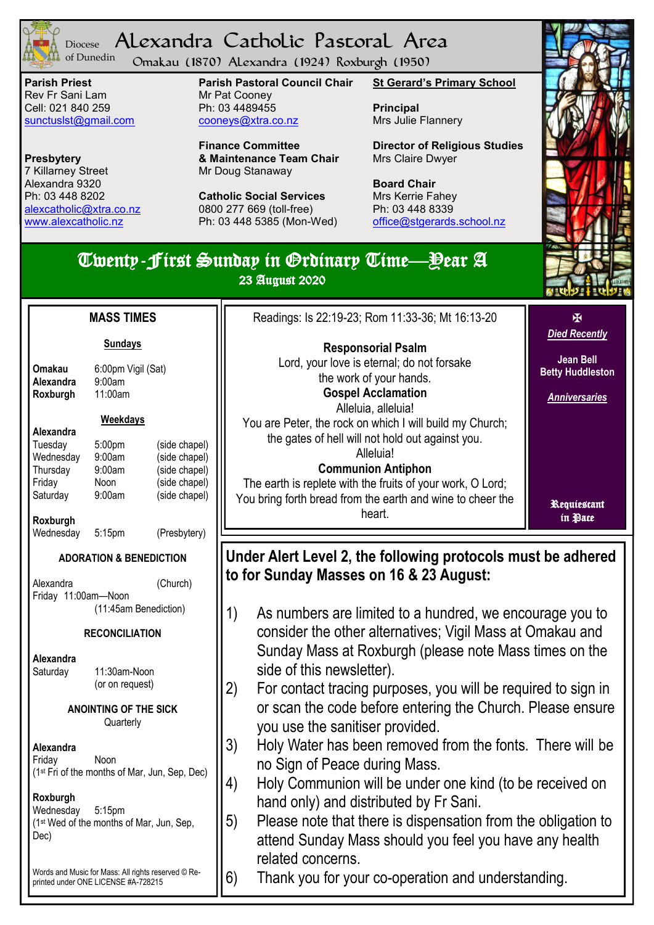

#### Alexandra Catholic Pastoral Area Diocese of Dunedin

Omakau (1870) Alexandra (1924) Roxburgh (1950)

**Parish Priest** Rev Fr Sani Lam Cell: 021 840 259 [sunctuslst@gmail.com](mailto:mailto:sunctuslst@gmail.com)

**Presbytery** 7 Killarney Street Alexandra 9320 Ph: 03 448 8202 [alexcatholic@xtra.co.nz](mailto:mailto:alexcatholic@xtra.co.nz) www.alexcatholic.nz

**Parish Pastoral Council Chair** Mr Pat Cooney Ph: 03 4489455 cooneys@xtra.co.nz

**Finance Committee & Maintenance Team Chair** Mr Doug Stanaway

**Catholic Social Services**  0800 277 669 (toll-free) Ph: 03 448 5385 (Mon-Wed) **St Gerard's Primary School**

**Principal** Mrs Julie Flannery

**Director of Religious Studies** Mrs Claire Dwyer

**Board Chair** Mrs Kerrie Fahey Ph: 03 448 8339 [office@stgerards.school.nz](mailto:mailto:office@stgerards.school.nz)



# Twenty-First Sunday in Ordinary Time—Year A

23 August 2020

#### **Sundays**

**Omakau** 6:00pm Vigil (Sat)

| Omakau    |  |
|-----------|--|
| Alexandra |  |
| Roxburgh  |  |

# **Roxburgh** 11:00am

**Alexandra** 9:00am

## **Weekdays**

| Alexandra |        |               |
|-----------|--------|---------------|
| Tuesday   | 5:00pm | (side chapel) |
| Wednesday | 9:00am | (side chapel) |
| Thursday  | 9:00am | (side chapel) |
| Friday    | Noon   | (side chapel) |
| Saturday  | 9:00am | (side chapel) |
|           |        |               |

**Roxburgh**

Wednesday 5:15pm (Presbytery)

## **ADORATION & BENEDICTION**

Alexandra (Church) Friday 11:00am—Noon (11:45am Benediction)

## **RECONCILIATION**

**Alexandra** Saturday 11:30am-Noon (or on request)

> **ANOINTING OF THE SICK Quarterly**

#### **Alexandra** Friday Noon (1st Fri of the months of Mar, Jun, Sep, Dec)

#### **Roxburgh** Wednesday 5:15pm (1st Wed of the months of Mar, Jun, Sep, Dec)

Words and Music for Mass: All rights reserved © Reprinted under ONE LICENSE #A-728215

| Readings: Is 22:19-23; Rom 11:33-36; Mt 16:13-20                      | K<br><b>Died Recently</b>                   |
|-----------------------------------------------------------------------|---------------------------------------------|
| <b>Responsorial Psalm</b>                                             |                                             |
| Lord, your love is eternal; do not forsake<br>the work of your hands. | <b>Jean Bell</b><br><b>Betty Huddleston</b> |
| <b>Gospel Acclamation</b><br>Alleluia, alleluia!                      | <b>Anniversaries</b>                        |
| You are Peter, the rock on which I will build my Church;              |                                             |
| the gates of hell will not hold out against you.                      |                                             |
| Alleluia!                                                             |                                             |
| <b>Communion Antiphon</b>                                             |                                             |
| The earth is replete with the fruits of your work, O Lord;            |                                             |
| You bring forth bread from the earth and wine to cheer the<br>heart.  | Requiestant<br>in Pace                      |

## **Under Alert Level 2, the following protocols must be adhered to for Sunday Masses on 16 & 23 August:**

- 1) As numbers are limited to a hundred, we encourage you to consider the other alternatives; Vigil Mass at Omakau and Sunday Mass at Roxburgh (please note Mass times on the side of this newsletter).
- 2) For contact tracing purposes, you will be required to sign in or scan the code before entering the Church. Please ensure you use the sanitiser provided.
- 3) Holy Water has been removed from the fonts. There will be no Sign of Peace during Mass.
- 4) Holy Communion will be under one kind (to be received on hand only) and distributed by Fr Sani.
- 5) Please note that there is dispensation from the obligation to attend Sunday Mass should you feel you have any health related concerns.

6) Thank you for your co-operation and understanding.